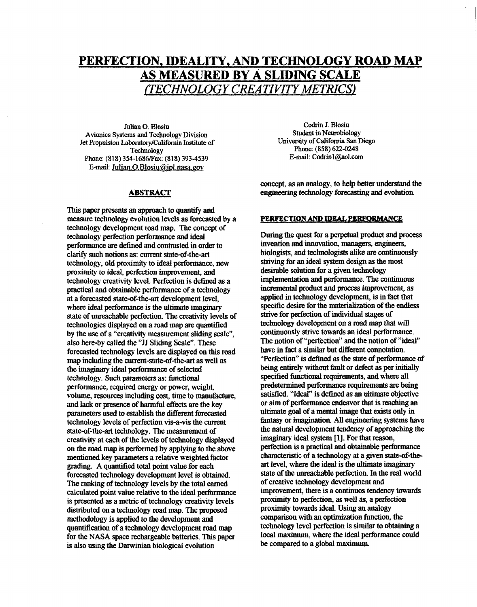# **PERFECTION, IDEALITY,** AND **TECHNOLOGY ROAD** *MAP*  **AS MEASURED BY A SLIDING SCALE**  *(TECHNOLOGY CREATIVITYMETHCS)*

Julian *0.* Blosiu **Avionics** Systems and Technology **Division Jet Propulsion Laboratory/California Institute of Technology Phone: (818) 354-1686lFax: (818) 3934539 E-mail: Julian.O.Blosiu@id.nasa.pov** 

### **ABSTRACT**

**This** paper **presents** an **approach to quantify** and **measure technology evolution levels as forecasted by a technology development road map. The concept of technology perfection performance and ideal performance** are **defined and contrasted in order to clarify such notions** as: **current state-of-the-art technology, old proximity to ideal** performance, **new**  proximity to ideal, perfection improvement, and **technology creativity level. Perfection is defined as a practical and obtainable performance of a technology**  at a forecasted state-of-the-art development level, **where ideal performance is the ultimate** imaginary **state of unreachable perfection. The** creativity **levels of technologies displayed on a road map** are **quantified by the** use **of a "creativity measurement sliding scale", also here-by called the "JJ Sliding Scale".** These **forecasted technology levels** are **displayed on this road map including the current-state-of-the-art** as **well as the** *imaginary* **ideal performance of selected technology. Such parameters as:** functional **performance, required energy or power, weight,**  volume, resources including cost, time to manufacture, and **lack or presence of** harmful **effects** are **the key**  parameters used **to establish the different forecasted technology levels of perfection vis-a-vis the current state-of-the-art technology. The measurement of creativity at each of the levels of technology displayed on the road map** *is* **performed by applying to the above mentioned key parameters a relative weighted factor**  *gmling.* **A quantified total** point value **for each forecasted technology development level is obtained.**  The ranking of technology levels by the total earned calculated **point value relative to the ideal performance is presented** as **a metric of technology creativity levels distributed on a technology road map. The proposed methodology is applied to the development** and **quantification of a technology development road map for the NASA space rechargeable batteries. This paper**  is also using the Darwinian biological evolution

Codrin **J.** Blosiu **Student** in Neurobiology **Phone: (858) 622-0248 E-mail:** [Codrinl@ol.com](mailto:Codrinl@ol.com)  University of California San Diego

**concept, as an analogy, to** help **better understand the engineering technology forecasting** and **evolution.** 

#### **PERFeCTIONANDIDEALPERFORMANCE**

**During the quest for a** perpetual **product** and **process invention and innovation, managers,** *engineers,*  **biologists, and technologists alike** *are* **continuously striving for** an **ideal system design** as **the most desirable solution for agiven technology implementation** and **performance. The continuous incremental product** and **process impvement,** as **applied in technology development, is in** fact **that specific desire for the materialization of the endless strive for perfection of individual stages of**  technology development on a road map that will **continuously strive towards an ideal performance.**  The notion of "perfection" and the notion of "ideal" **have** in **fact a** *similar* **but different connotatioa "Perfection" is defined** as **the state of performance of being entirely without fault or defect** as **per initially**  specified functional requirements, and where all<br>predetermined performance requirements are being **partisfied. "Ideal" is defined as an ultimate objective or aim of performance endeavor that is reaching** an **ultimate goal of a mental image that exists only** in fantasy **or imagination.** All **engineering systems have the** natural **development tendency** *of* **approaching the**  imaginary **ideal system** [ **11. For that** reason, **perfection is a practical** and **obtainable performance**  characteristic of a technology at a given state-of-theart **level, where the ideal is** the **ultimate** imaginary **state** *of* **the unreachable perfection.** In **the real world of creative technology development and improvement, there is a continuos tendency towards proximity to perfection,** as **well** as, **a perfection proximity towards ideal. Using** an analogy **comparison with an optimization** function, **the**  technology level perfection is similar to obtaining a **local** maximum, **where** the **ideal performance could**  be **compared to a global** maximurn.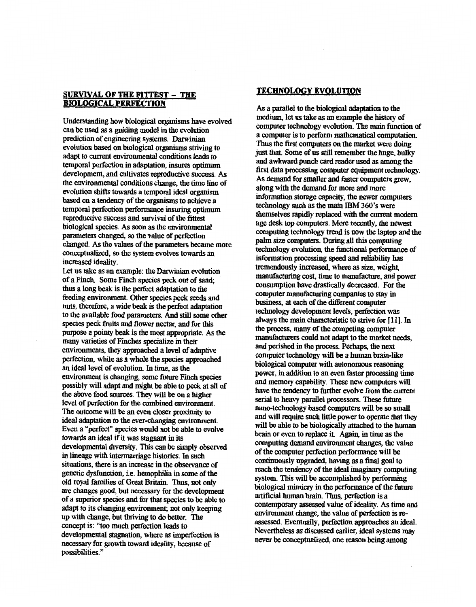## **SURVIVAL OF THE FITTEST - THE BIOLOGICAL PERFECTION**

Inderstanding now biological organisms have evolved<br>an be used as a guiding model in the evolution<br>rediction of engineering systems. Darwinian prediction of engineering systems. Darwinian evolution based on biological organisms striving to adapt to current environmental conditions leads to temporal perfection in adaptation, insures optimum development, and cultivates reproductive success. As the environmental conditions change, the time line of evolution shifts towards a temporal ideal organism based on a tendency of the organisms to achieve a **temporal perfection performance insuring optimum** reproductive success and survival of the fittest **biological species. As soon as the environmental** pological species. As soon as the environmental<br>parameters changed, so the value of perfection<br>changed. As the values of the parameters became m<br>ponceptualized, so the system evolves towards an<br>ncreased ideality.<br>Let us ta changed. As the values of the parameters became more **changed.** *As* **the** values **of the parameters became more conceptuabd,** *so* **the system evolves towards an** 

Let us **take** as **an example: the Darwinian evolution**  thus a long beak is the perfect adaptation to the feeding environment. Other species peck seeds and nuts, therefore, a wide beak is the perfect adaptation to the available food parameters. And still some other species peck fruits and flower nectar, and for this **purpose a pointy beak is the most appropriate.** As the many varieties of Finches specialize in their environments, they approached a level of adaptive **environments, they approached a level of adaptive perfkction, while** as **a whole the** *species* **approached an ideal level** *of* **evolution.** In **time,** as **the possibly will adapt and might be able to peck at all of** the above food sources. They will be on a higher level of perfection for the combined environment. The outcome will be an even closer proximity to **ideal adaptation to the ever-changing environment.** Even a "perfect" species would not be able to evolve towards an ideal if it was stagnant in its developmental diversity. This can be simply observed in lineage with intermarriage histories. In such situations, there is an increase in the observance of genetic dysfunction, i.e. hemophilia in some of the **old royal families of Great Britain. Thus, not only** are changes good, but necessary for the development of a superior species and for that species to be able to a dapt to its changing environment; not only keeping up with change, but thriving to do better. The concept is: "too much perfection leads to developmental stagnation, where as imperfection is **developmental stagnation, where** as **imperfecton is**  necessary **for** growth **toward ideality,** because **of possibilities."** 

## **TECHNOLOGY EVOLUTION**

**As a parallel to the biological adaptation to the**  computer technology evolution. The main function of a computer is to perform mathematical computation. Thus the first computers on the market were doing just that. Some of us still remember the huge, bulky and awkward punch card reader used as among the first data processing computer equipment technology. As demand for smaller and faster computers grew. along with the demand for more and more information storage capacity, the newer computers technology such as the main IBM 360's were **themselves rapidly replaced with the current modern** age desk top computers. More recently, the newest computing technology trend is now the laptop and the palm size computers. During all this computing technology evolution, the functional performance of information processing speed and reliability has **iremendously** increased, where as size, weight, **transfluence increase terms increased contains manufacturing contains contains manufacturing contains manufacturing contains manufacturing contains manufacturing contains manufacturi** consumption have drastically decreased. For the computer manufacturing companies to stay in business, at each of the different computer technology development levels, perfection was always the main characteristic to strive for [11]. In the process, many of the competing computer manufacturers could not adapt to the market needs, and perished in the process. Perhaps, the next computer *technology* will be a human brain-like biological computer with autonomous reasoning power, in addition to an even faster processing time and memory capability. These new computers will have the tendency to further evolve from the current serial to heavy parallel processors. These future nano-technology based computers will be so small and will require such little power to operate that they will be able to be biologically attached to the human brain or even to replace it. Again, in time as the **brain or even to** replace **it. Again, in time** as **the**  Fill be able to be biologically attached to the human<br>rain or even to replace it. Again, in time as the<br>omputing demand environment changes, the value<br>**f** the computer perfection performance will be **of the computer perfecton performance will be**  reach the tendency of the ideal imaginary computing system. This will be accomplished by performing biological mimicry in the performance of the future artificial human brain. Thus, perfection is a contemporary assessed value of ideality. As time and **contemporary** *change*, the value of perfection is reassessed. Eventually, perfection approaches an ideal. Nevertheless as discussed earlier, ideal systems may **Nevertheless** as discussed **earlier, ideal** *systems* **may never be conceptualized one reason being** *among*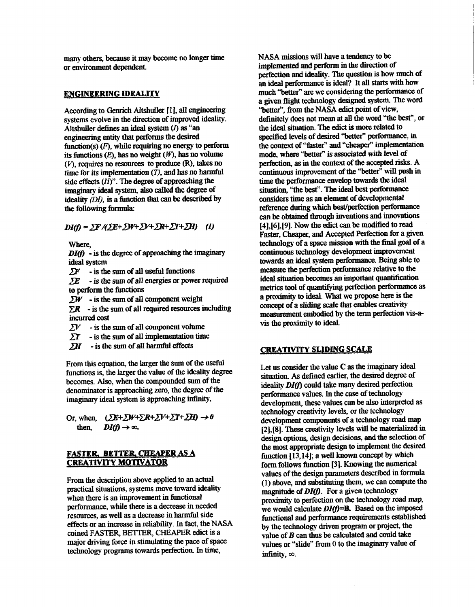**many others,** because **it may become** no **longer time or environment** dependent.

## **ENGINEERING IDEALITY**

According to Genrich Altshuller <sup>[1]</sup>, all engineering **systems evolve in the direction** *of improved* **ideality. Altshuller defines** an **ideal** *system (0* as **"an engineering** *entity* **that performs** the **desired**   $function(s)$   $(F)$ , while requiring no energy to perform its functions  $(E)$ , has no weight  $(W)$ , has no volume (V), **requires** no resources **to produce** (R), takes **no**  time **for** *its* **implementaton** *(T),* **and has** no harmful **side effects** *(H)".* **The degree of approaching the**  imaginary ideal system, also called the degree of **ideality** *(DI)*, is a function that can be described by the following formula:

 $DI(0) = \sum F / (\sum E + \sum W + \sum V + \sum R + \sum T + \sum H)$  (1)

**Where**,

 $DI(f)$  - is the degree of approaching the imaginary **ideal system** 

 $2F$  **-** is the sum of all useful functions

*LE* - **is** the *sum of* **all energies** *or* **power required to perform the functions** 

 $\Sigma W$  - is the sum of all component weight

 $\Sigma R$  - is the sum of all required resources including incurred cost

- $\Sigma V$  is the sum of all component volume
- $\Sigma T$  is the sum of all implementation time
- $\sum H$  is the sum of all harmful effects

From this equation, the larger the sum of the useful **functions is, the larger the value of the ideality degree becomes. Also, when the compounded** *sum* **of the denominator is approaching** zero, **the degree of** *the imaginary ideal system is approaching infinity,* 

Or, when,  $(\Sigma E + \Sigma W + \Sigma R + \Sigma V + \Sigma T + \Sigma H) \rightarrow 0$ when,  $(2E+2W+2E)$ <br>then,  $DI(f) \rightarrow \infty$ .

# **FASTER, BETTER CHEAPER AS A CREATIVITY MOTIVATOR**

**From the description above applied** *to* **an** actual practical **situations, systems move toward ideality when there is an improvement** in functional **performance, while there is a decrease** in **needed resources, as well as a decrease** in harmful **side effects or** an **increase in reliability.** In **fact,** the **NASA coined FASTER, BETTER, CHEAPER** *edict* **is a major driving force in stimulating the pace of** *space*  technology programs towards perfection. In time,

**NASA missions** will **have a tendency to be implemented and perform in** the direction **of perfection** and **ideality. The question** is **how much** *of*  an **ideal** performauce **is ideal? It** all *starts* **with how**  much "better" are we considering the performance of **a** *given* **flight technology designed system. The word**  "better", from the NASA edict point of view, **definitely does not mean** at all **the word ''the** best", **or the ideal situation. The** *edict* **is more** related **to**  specified levels of desired "better" performance, in the context of "faster" and "cheaper" implementation mode, where "better" is associated with level of **perfection,** as **in the context of the accepted risks. A**  continuous improvement of the "better" will push in time the **performance envelop towards the ideal**  situation, **"the** best". The **ideal best performance considers time as** an **element of developmental**  reference during which best/perfection performance **[4],[6],[9]. Now the** *edict can* **be modified to read**  Faster, Cheaper, and Accepted Perfection for a given **technology of a** *space* **mission** with **the** final **goal of a continuous technology development improvement towards** an *ideal* **system performance. Being able to**  measure the perfection performance relative to the ideal situation becomes an important quantification metrics tool of quantifying perfection performance as **a proximity to ideal.** What **we propose here** is the **concept of a** *sliding* **scale that enables creativity**  measurement embodied by the term perfection vis-avis **the** proximity **to ideal.**  *can* **be obtained** thrwgh **inventions** and innovations

## **CRIEATIVITY SLIDING SCALE**

**Let us consider the value C** as **the** imaginary **ideal situation. As defined earlier, the desired degree of ideality DI(f)** could take many desired perfection **performance values,** In **the** *case* **of technology development, these values** *can* **be also interpreted** as **technology** *creativity* **levels, or the technology development** components **of a technology road map [2],[8].** These **cfeativty levels** will **be materialized** in **design options, design decisions, and the selection of the most appropriate design to implement the desired**  function [13,14]; a well known concept by which **form follows function [3]. Knowing** the **numerical values of the design** parameters **described** in formula **(1) above,** and **substiluting** them, **we** *can* **compute the magnitude of** *DIG.* **For a given technology proximity** to **perfection** *on* **the technology road map,**  we would calculate  $DI(f) = B$ . Based on the imposed fimctional and **performance requirements established by the technology driven program or project, the value of** *B can* **thus be calculated and oould take values or "slide" from 0 to** the imaginary **value of**  infinity,  $\infty$ .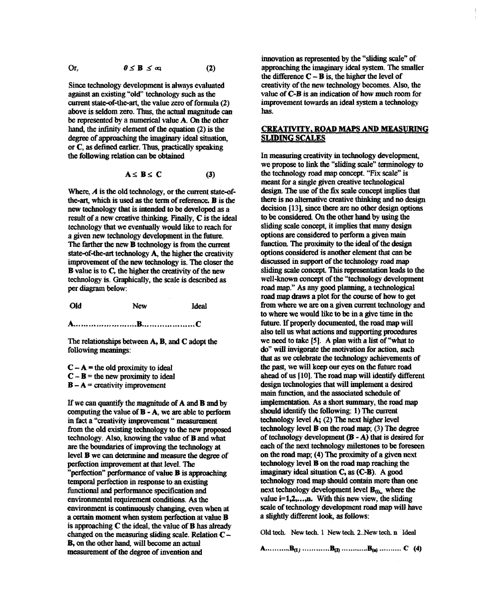Or, 
$$
0 \leq B \leq \infty
$$
 (2)

Since technology development is always evaluated against an existing "old" technology such as the current state-of-the-art, the value zero of formula (2) above is seldom zero. Thus, the actual magnitude can be represented by a numerical value A. On the other hand, the infinity element of the equation (2) is the degree of approaching the imaginary ideal situation. or C, as defined earlier. Thus, practically speaking the following relation can be obtained

$$
A \leq B \leq C \tag{3}
$$

Where,  $A$  is the old technology, or the current state-ofthe-art, which is used as the term of reference. **B** is the new technology that is intended to be developed as a result of a new creative thinking. Finally, C is the ideal technology that we eventually would like to reach for a given new technology development in the future. The farther the new **B** technology is from the current state-of-the-art technology A, the higher the creativity improvement of the new technology is. The closer the **B** value is to C, the higher the creativity of the new technology is. Graphically, the scale is described as per diagram below:

Old **New Ideal** 

The relationships between A, B, and C adopt the following meanings:

 $C - A$  = the old proximity to ideal  $C - B$  = the new proximity to ideal  $B - A$  = creativity improvement

If we can quantify the magnitude of A and B and by computing the value of  $B - A$ , we are able to perform in fact a "creativity improvement " measurement from the old existing technology to the new proposed technology. Also, knowing the value of **B** and what are the boundaries of improving the technology at level **B** we can determine and measure the degree of perfection improvement at that level. The "perfection" performance of value **B** is approaching temporal perfection in response to an existing functional and performance specification and environmental requirement conditions. As the environment is continuously changing, even when at a certain moment when system perfection at value **B** is approaching  $C$  the ideal, the value of  $B$  has already changed on the measuring sliding scale. Relation  $C -$ B, on the other hand, will become an actual measurement of the degree of invention and

innovation as represented by the "sliding scale" of approaching the imaginary ideal system. The smaller the difference  $C - B$  is, the higher the level of creativity of the new technology becomes. Also, the value of C-B is an indication of how much room for improvement towards an ideal system a technology has.

## **CREATIVITY, ROAD MAPS AND MEASURING SLIDING SCALES**

In measuring creativity in technology development, we propose to link the "sliding scale" terminology to the technology road map concept. "Fix scale" is meant for a single given creative technological design. The use of the fix scale concept implies that there is no alternative creative thinking and no design decision [13], since there are no other design options to be considered. On the other hand by using the sliding scale concept, it implies that many design options are considered to perform a given main function. The proximity to the ideal of the design options considered is another element that can be discussed in support of the technology road map sliding scale concept. This representation leads to the well-known concept of the "technology development road map." As any good planning, a technological road map draws a plot for the course of how to get from where we are on a given current technology and to where we would like to be in a give time in the future. If properly documented, the road map will also tell us what actions and supporting procedures we need to take  $[5]$ . A plan with a list of "what to" do" will invigorate the motivation for action, such that as we celebrate the technology achievements of the past, we will keep our eyes on the future road ahead of us [10]. The road map will identify different design technologies that will implement a desired main function, and the associated schedule of implementation. As a short summary, the road map should identify the following: 1) The current technology level  $A: (2)$  The next higher level technology level  $\bf{B}$  on the road map; (3) The degree of technology development  $(B - A)$  that is desired for each of the next technology milestones to be foreseen on the road map; (4) The proximity of a given next technology level **B** on the road map reaching the imaginary ideal situation C, as (C-B). A good technology road map should contain more than one next technology development level  $\mathbf{B}_{(0)}$ , where the value  $i=1,2,...,n$ . With this new view, the sliding scale of technology development road map will have a slightly different look, as follows:

Old tech. New tech. 1 New tech. 2. New tech. n Ideal

A..............B<sub>(1)</sub> ..............B<sub>(2)</sub> ...............B<sub>(2)</sub> ............. C (4)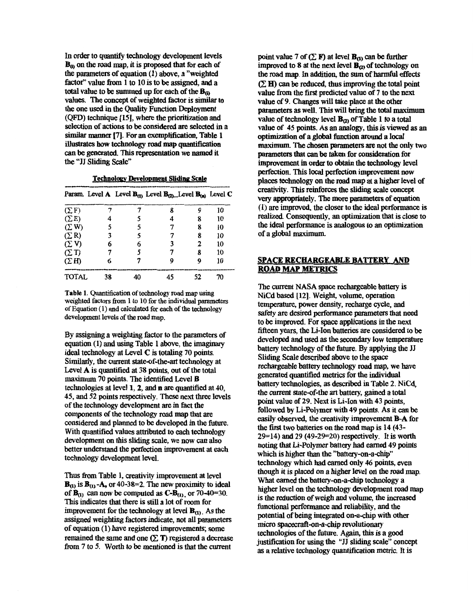In order to quantify technology development levels **Bo on** the **road map, it** is **proposed that for each of the parameters of equation (1) above, a "weighted**  factor" value from 1 to 10 is to be assigned, and a **total value to be summed up for each of the B<sub>o</sub> values. The concept of weighted factor is***simiiar* **to**  the **one used in** the **Quality** Function **Deployment (QFD) technique [15j, where** the **prioritization** and **selection of actions to be considered** are **selected** in **a**  similar manner **[7]. For** an *exemplification,* **Table 1**  can be generated. This representation we named it the "JJ Sliding Scale" illustrates how technology road map quantification

|              |    | Param. Level A Level $B_{(1)}$ Level $B_{(2)}$ . Level $B_{(n)}$ Level C |   |    |
|--------------|----|--------------------------------------------------------------------------|---|----|
| $(\Sigma F)$ |    | 8                                                                        | Q | 10 |
| $(\Sigma E)$ |    |                                                                          | 8 | 10 |
| $(\Sigma W)$ |    |                                                                          | 8 | 10 |
| $(\Sigma R)$ | 3  |                                                                          | 8 | 10 |
| $(\Sigma$ V) | 6  |                                                                          | 2 | 10 |
| (2T)         |    |                                                                          | 8 | 10 |
| (2H)         | 6  |                                                                          |   | 10 |
| <b>TOTAL</b> | 38 |                                                                          |   | 70 |

**Technology Development Sliding Scale** 

**Table 1.** Quantification **of** technology **road map** using weighted factors from 1 to 10 for the individual parameters of Equation **(1)** and calculated for each **of** the technology development levels **of** the road **map.** 

By assigning a weighting factor to the parameters of **equation (1) and using Table 1 above, the** imaginary **ideal technology at Level C is totaling 70 points. Similarly, the current state-of-the-art technology at Level A is quantified** *at* **38 points, out of the total**  maximum **70** points. **The identified Level B technologies at level 1,2, and n** are **quantified at 40, 45, and 52 points respectively.** These **next** three **levels of the technology development** are in **Edct the components of the technology road map that are considered and planned to be developed in the** future. **With quantified values attributed to each technology development on this sliding scale, we now** *can* **also**  better understand the perfection improvement at each **technology development level.** 

**Thus from Table 1, creativity improvement at level**   $\mathbf{B}_{(1)}$  is  $\mathbf{B}_{(1)}$  -**A**, or 40-38=2. The new proximity to ideal of  $\mathbf{B}_{(1)}$  can now be computed as  $\mathbf{C}\text{-}\mathbf{B}_{(1)}$ , or 70-40=30. This **urdicates** that **there is** still **a lot of mom for**  improvement for the technology at level  $\mathbf{B}_{(1)}$ . As the **assigned weighting factors indicate, not** all **parameters of equation (1) have registered improvements; some**  remained the same and one  $(\Sigma T)$  registered a decrease **from 7 to 5. Worth to be mentioned is that the current** 

**point value 7 of**  $(\Sigma \mathbf{F})$  **at level**  $\mathbf{B}_{(1)}$  **can be further improved to 8 at the next level**  $\mathbf{B}_{(2)}$  **of technology on the** road *map.* In **addition, the** *sum* **of** harmful **effects**  value **from the first** predicted **value of 7 to the next**  value of 9. Changes will take place at the other parameters as well. This will bring the total maximum value of technology level  $\mathbf{B}_{(2)}$  of Table 1 to a total **value of 45 points. As** an **analogy, this is** viewed **as** an **optimbdon afa** *global* **fnnction** *md* **a local**  maximum. The **chosen parameters** are **not** the **only two parameters that can be taken for consideration for impmenmt** in **onset to** *obtain* the **technology level perfection. This local perfection improvement now places technology on the road map** at **a higher level of creativity. This** reinforces the **sliding scale concept**  very appropriately. The more parameters of equation **(1)** are **improved, the closer to the ideal performance is**  *realized.* **Consequently, an optimization that is close to the ideal performance is dogous to** an **optimization of a** global maximum.  $(\Sigma H)$  can be reduced, thus improving the total point

# **SPACE RECHARGEABLE BATTERY AND ROAD** *MAP* **METRICS**

**The** current **NASA space rechargeable** battery **is NiCd based** [ **121. Weight, volume, operation temperature, power density, recharge cycle, and safety** are **desired** performance **panmeters** that **need to be improved. For** *space* **applications in the next fifteen years, the Li-Ion batteries areconsidered to be developed** and used as **the secondaty low temperature battery technology of the** future. **By applying the JJ Sliding Scale described above to the** *space*  **rechargeable** battery **technology road map, we have generated quantified metrics for the individual battery technologies, as described** in **Table 2. NiCd, the** *curreat* **state-of-the** art battery, **gained a total point value of 29. Next is Li-Ion with 43 points, followed by Li-Polymer with 49 points. As it** *can* **be easily observed, the** creativity **improvement B-A for**  the first **two batteries on the road** *map* **is 14 (43- 29=14)** and **29 (49-29-20) respectively. It is worth noting** that **Li-Polymer battery** had *earned* **49 points which is higher** than **the "battery-on-a-chip" technology which had earned only** *46* points, **even though it is placed on a higher level on** the **road** map. **What earned the battery-on-a-chip technology a higher level on the technology development road map**  is **the reduction of weigh and volume, the** increased **functional performance** and **reliability,** and **the**  potential of being integrated on-a-chip with other micro spacecraft-on-a-chip revolutionary **technologies of the** future. **Again, this is a good**  justification for using the "JJ sliding scale" concept as **a** relative **technology quantification metric. It is**